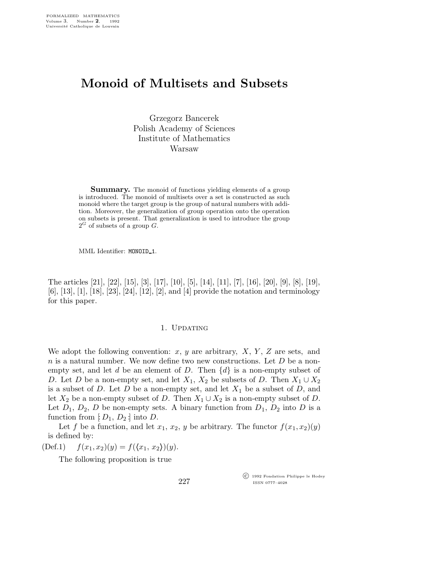# Monoid of Multisets and Subsets

Grzegorz Bancerek Polish Academy of Sciences Institute of Mathematics Warsaw

Summary. The monoid of functions yielding elements of a group is introduced. The monoid of multisets over a set is constructed as such monoid where the target group is the group of natural numbers with addition. Moreover, the generalization of group operation onto the operation on subsets is present. That generalization is used to introduce the group  $2^G$  of subsets of a group G.

MML Identifier: MONOID 1.

The articles [21], [22], [15], [3], [17], [10], [5], [14], [11], [7], [16], [20], [9], [8], [19], [6], [13], [1], [18], [23], [24], [12], [2], and [4] provide the notation and terminology for this paper.

# 1. UPDATING

We adopt the following convention: x, y are arbitrary,  $X, Y, Z$  are sets, and  $n$  is a natural number. We now define two new constructions. Let  $D$  be a nonempty set, and let d be an element of D. Then  $\{d\}$  is a non-empty subset of D. Let D be a non-empty set, and let  $X_1, X_2$  be subsets of D. Then  $X_1 \cup X_2$ is a subset of D. Let D be a non-empty set, and let  $X_1$  be a subset of D, and let  $X_2$  be a non-empty subset of D. Then  $X_1 \cup X_2$  is a non-empty subset of D. Let  $D_1$ ,  $D_2$ , D be non-empty sets. A binary function from  $D_1$ ,  $D_2$  into D is a function from  $[D_1, D_2]$  into D.

Let f be a function, and let  $x_1, x_2, y$  be arbitrary. The functor  $f(x_1, x_2)(y)$ is defined by:

(Def.1)  $f(x_1, x_2)(y) = f(\langle x_1, x_2 \rangle)(y)$ .

The following proposition is true

 c 1992 Fondation Philippe le Hodey ISSN 0777–4028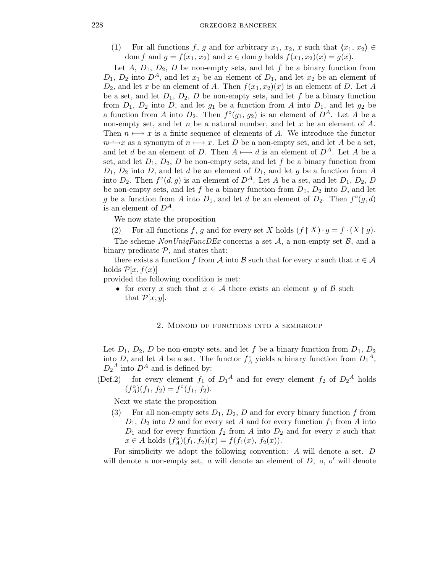(1) For all functions f, g and for arbitrary  $x_1, x_2, x$  such that  $\langle x_1, x_2 \rangle \in$ dom f and  $g = f(x_1, x_2)$  and  $x \in \text{dom } g$  holds  $f(x_1, x_2)(x) = g(x)$ .

Let  $A, D_1, D_2, D$  be non-empty sets, and let f be a binary function from  $D_1$ ,  $D_2$  into  $D^A$ , and let  $x_1$  be an element of  $D_1$ , and let  $x_2$  be an element of  $D_2$ , and let x be an element of A. Then  $f(x_1, x_2)(x)$  is an element of D. Let A be a set, and let  $D_1$ ,  $D_2$ , D be non-empty sets, and let f be a binary function from  $D_1$ ,  $D_2$  into D, and let  $g_1$  be a function from A into  $D_1$ , and let  $g_2$  be a function from A into  $D_2$ . Then  $f^{\circ}(g_1, g_2)$  is an element of  $D^A$ . Let A be a non-empty set, and let  $n$  be a natural number, and let  $x$  be an element of  $A$ . Then  $n \mapsto x$  is a finite sequence of elements of A. We introduce the functor  $n \rightarrow x$  as a synonym of  $n \rightarrow x$ . Let D be a non-empty set, and let A be a set, and let d be an element of D. Then  $A \longmapsto d$  is an element of  $D^A$ . Let A be a set, and let  $D_1, D_2, D$  be non-empty sets, and let f be a binary function from  $D_1$ ,  $D_2$  into D, and let d be an element of  $D_1$ , and let g be a function from A into  $D_2$ . Then  $f^{\circ}(d, g)$  is an element of  $D^A$ . Let A be a set, and let  $D_1, D_2, D_3$ be non-empty sets, and let f be a binary function from  $D_1$ ,  $D_2$  into D, and let g be a function from A into  $D_1$ , and let d be an element of  $D_2$ . Then  $f^{\circ}(g,d)$ is an element of  $D^A$ .

We now state the proposition

(2) For all functions f, g and for every set X holds  $(f \upharpoonright X) \cdot g = f \cdot (X \upharpoonright g)$ .

The scheme  $NonUniqFunc$  concerns a set A, a non-empty set B, and a binary predicate  $P$ , and states that:

there exists a function f from A into B such that for every x such that  $x \in A$ holds  $\mathcal{P}[x, f(x)]$ 

provided the following condition is met:

• for every x such that  $x \in \mathcal{A}$  there exists an element y of B such that  $\mathcal{P}[x, y]$ .

### 2. Monoid of functions into a semigroup

Let  $D_1$ ,  $D_2$ , D be non-empty sets, and let f be a binary function from  $D_1$ ,  $D_2$ into D, and let A be a set. The functor  $f_A^{\circ}$  yields a binary function from  $D_1^A$ ,  $D_2^A$  into  $D^A$  and is defined by:

(Def.2) for every element  $f_1$  of  $D_1^A$  and for every element  $f_2$  of  $D_2^A$  holds  $(f_A^{\circ})(f_1, f_2) = f^{\circ}(f_1, f_2).$ 

Next we state the proposition

(3) For all non-empty sets  $D_1, D_2, D$  and for every binary function f from  $D_1, D_2$  into D and for every set A and for every function  $f_1$  from A into  $D_1$  and for every function  $f_2$  from A into  $D_2$  and for every x such that  $x \in A$  holds  $(f_A^{\circ})(f_1, f_2)(x) = f(f_1(x), f_2(x)).$ 

For simplicity we adopt the following convention: A will denote a set, D will denote a non-empty set,  $a$  will denote an element of  $D$ ,  $o$ ,  $o'$  will denote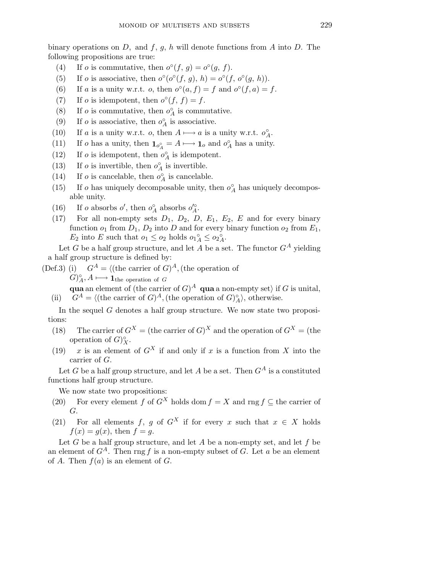binary operations on  $D$ , and  $f$ ,  $g$ ,  $h$  will denote functions from  $A$  into  $D$ . The following propositions are true:

- (4) If *o* is commutative, then  $o^{\circ}(f, g) = o^{\circ}(g, f)$ .
- (5) If o is associative, then  $o^{\circ}(o^{\circ}(f, g), h) = o^{\circ}(f, o^{\circ}(g, h)).$
- (6) If a is a unity w.r.t. o, then  $o^{\circ}(a, f) = f$  and  $o^{\circ}(f, a) = f$ .
- (7) If *o* is idempotent, then  $o^{\circ}(f, f) = f$ .
- (8) If  $o$  is commutative, then  $o_A^{\circ}$  is commutative.
- (9) If  $o$  is associative, then  $o_A^{\circ}$  is associative.
- (10) If a is a unity w.r.t. o, then  $A \mapsto a$  is a unity w.r.t.  $o_A^{\circ}$ .
- (11) If o has a unity, then  $\mathbf{1}_{o_A^{\circ}} = A \longmapsto \mathbf{1}_o$  and  $o_A^{\circ}$  has a unity.
- (12) If  $o$  is idempotent, then  $o_A^{\circ}$  is idempotent.
- (13) If  $o$  is invertible, then  $o_A^{\circ}$  is invertible.
- (14) If  $o$  is cancelable, then  $o_A^{\circ}$  is cancelable.
- (15) If  $o$  has uniquely decomposable unity, then  $o_A^{\circ}$  has uniquely decomposable unity.
- (16) If  $o$  absorbs  $o'$ , then  $o_A^{\circ}$  absorbs  $o'^{\circ}_A$ .
- (17) For all non-empty sets  $D_1$ ,  $D_2$ ,  $D$ ,  $E_1$ ,  $E_2$ ,  $E$  and for every binary function  $o_1$  from  $D_1$ ,  $D_2$  into D and for every binary function  $o_2$  from  $E_1$ ,  $E_2$  into E such that  $o_1 \leq o_2$  holds  $o_1^{\circ} \leq o_2^{\circ}$ .

Let G be a half group structure, and let A be a set. The functor  $G^A$  yielding a half group structure is defined by:

- (Def.3) (i)  $G^A = \langle$ (the carrier of  $G^A$ , (the operation of  $(G)_A^{\circ}, A \longmapsto \mathbf{1}_{\text{the operation of } G}$ qua an element of (the carrier of  $G$ )<sup>A</sup> qua a non-empty set) if G is unital,
	- (ii)  $G^A = \langle$ (the carrier of G)<sup>A</sup>, (the operation of G)<sup>2</sup><sub>A</sub> $\rangle$ , otherwise.

In the sequel  $G$  denotes a half group structure. We now state two propositions:

- (18) The carrier of  $G^X$  = (the carrier of  $G^X$ ) and the operation of  $G^X$  = (the operation of  $G)_{X}^{\circ}$ .
- (19) x is an element of  $G^X$  if and only if x is a function from X into the carrier of G.

Let G be a half group structure, and let A be a set. Then  $G^A$  is a constituted functions half group structure.

We now state two propositions:

- (20) For every element f of  $G^X$  holds dom  $f = X$  and rng  $f \subseteq$  the carrier of G.
- (21) For all elements f, g of  $G^X$  if for every x such that  $x \in X$  holds  $f(x) = g(x)$ , then  $f = g$ .

Let G be a half group structure, and let A be a non-empty set, and let  $f$  be an element of  $G^A$ . Then rng f is a non-empty subset of G. Let a be an element of A. Then  $f(a)$  is an element of G.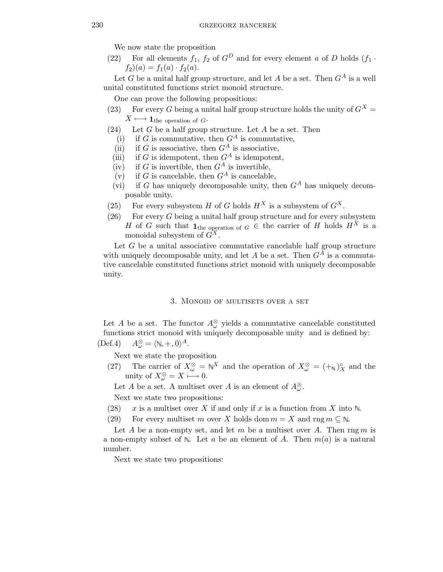We now state the proposition

(22) For all elements  $f_1$ ,  $f_2$  of  $G^D$  and for every element a of D holds  $(f_1 \cdot$  $f_2(a) = f_1(a) \cdot f_2(a)$ .

Let G be a unital half group structure, and let A be a set. Then  $G^A$  is a well unital constituted functions strict monoid structure.

One can prove the following propositions:

- (23) For every G being a unital half group structure holds the unity of  $G^X$  =  $X \longmapsto \mathbf{1}_{\text{the operation of } G}.$
- (24) Let  $G$  be a half group structure. Let  $A$  be a set. Then
	- (i) if G is commutative, then  $G^A$  is commutative,
	- (ii) if G is associative, then  $G^A$  is associative,
	- (iii) if G is idempotent, then  $G^A$  is idempotent,
	- (iv) if G is invertible, then  $G^A$  is invertible,
	- (v) if G is cancelable, then  $G^A$  is cancelable,
	- (vi) if G has uniquely decomposable unity, then  $G^A$  has uniquely decomposable unity.
- (25) For every subsystem H of G holds  $H^X$  is a subsystem of  $G^X$ .
- $(26)$  For every G being a unital half group structure and for every subsystem H of G such that  $\mathbf{1}_{\text{the operation of } G} \in \mathbb{R}$  the carrier of H holds  $H^X$  is a monoidal subsystem of  $G^X$ .

Let  $G$  be a unital associative commutative cancelable half group structure with uniquely decomposable unity, and let A be a set. Then  $G^A$  is a commutative cancelable constituted functions strict monoid with uniquely decomposable unity.

## 3. Monoid of multisets over a set

Let A be a set. The functor  $A_{\omega}^{\otimes}$  yields a commutative cancelable constituted functions strict monoid with uniquely decomposable unity and is defined by:  $(Def.4)$  $\mathcal{L} = \langle \mathbb{N}, +, 0 \rangle^{A}.$ 

Next we state the proposition

(27) The carrier of  $X_{\omega}^{\otimes} = \mathbb{N}^{X}$  and the operation of  $X_{\omega}^{\otimes} = (+_{\mathbb{N}})^{\circ}_{X}$  and the unity of  $X_{\omega}^{\otimes} = X \longmapsto 0$ .

Let A be a set. A multiset over A is an element of  $A_{\omega}^{\otimes}$ .

Next we state two propositions:

- (28) x is a multiset over X if and only if x is a function from X into  $\mathbb N$ .
- (29) For every multiset m over X holds dom  $m = X$  and rng  $m \subset \mathbb{N}$ .

Let A be a non-empty set, and let m be a multiset over A. Then  $\text{rng } m$  is a non-empty subset of N. Let a be an element of A. Then  $m(a)$  is a natural number.

Next we state two propositions: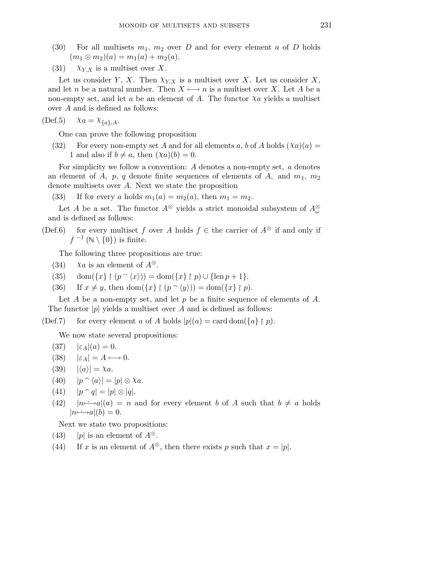- (30) For all multisets  $m_1$ ,  $m_2$  over D and for every element a of D holds  $(m_1 \otimes m_2)(a) = m_1(a) + m_2(a).$
- (31)  $\chi_{Y,X}$  is a multiset over X.

Let us consider Y, X. Then  $\chi_{Y,X}$  is a multiset over X. Let us consider X, and let n be a natural number. Then  $X \rightarrow n$  is a multiset over X. Let A be a non-empty set, and let a be an element of A. The functor  $\chi_a$  yields a multiset over A and is defined as follows:

 $(Def.5)$   $\chi_a = \chi_{\{a\},A}.$ 

One can prove the following proposition

(32) For every non-empty set A and for all elements a, b of A holds  $(\chi_a)(a)$  = 1 and also if  $b \neq a$ , then  $(\chi a)(b) = 0$ .

For simplicity we follow a convention:  $A$  denotes a non-empty set,  $a$  denotes an element of A, p, q denote finite sequences of elements of A, and  $m_1$ ,  $m_2$ denote multisets over A. Next we state the proposition

(33) If for every a holds  $m_1(a) = m_2(a)$ , then  $m_1 = m_2$ .

Let A be a set. The functor  $A^{\otimes}$  yields a strict monoidal subsystem of  $A^{\otimes}_{\omega}$ and is defined as follows:

(Def.6) for every multiset f over A holds  $f \in$  the carrier of  $A^{\otimes}$  if and only if  $f^{-1}(\mathbb{N}\setminus\{0\})$  is finite.

The following three propositions are true:

- (34)  $\chi_a$  is an element of  $A^{\otimes}$ .
- (35)  $\dim({x} \restriction (p \cap \langle x \rangle)) = \dim({x} \restriction p) \cup {\dim p + 1}.$
- (36) If  $x \neq y$ , then dom $(\{x\} \restriction (p \cap \langle y \rangle)) = \text{dom}(\{x\} \restriction p)$ .

Let A be a non-empty set, and let p be a finite sequence of elements of  $A$ . The functor  $|p|$  yields a multiset over A and is defined as follows:

(Def.7) for every element a of A holds  $|p|(a) = \text{card dom}(\{a\} \restriction p)$ .

We now state several propositions:

$$
(37) \t|\varepsilon_A|(a) = 0.
$$

- (38)  $|\varepsilon_A| = A \longrightarrow 0.$
- $(39)$   $|\langle a \rangle| = \chi a$ .
- (40)  $|p \cap \langle a \rangle| = |p| \otimes \chi a$ .
- (41)  $|p \cap q| = |p| \otimes |q|.$
- (42)  $|n \rightarrow a|(a) = n$  and for every element b of A such that  $b \neq a$  holds  $|n \rightarrow a|(b) = 0.$

Next we state two propositions:

- (43) |p| is an element of  $A^{\otimes}$ .
- (44) If x is an element of  $A^{\otimes}$ , then there exists p such that  $x = |p|$ .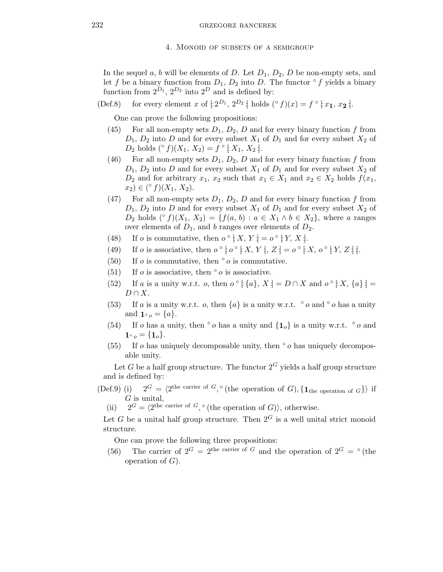### 4. Monoid of subsets of a semigroup

In the sequel a, b will be elements of D. Let  $D_1$ ,  $D_2$ , D be non-empty sets, and let f be a binary function from  $D_1$ ,  $D_2$  into D. The functor  $\circ$  f yields a binary function from  $2^{D_1}$ ,  $2^{D_2}$  into  $2^D$  and is defined by:

(Def.8) for every element x of  $[2^{D_1}, 2^{D_2}]$  holds  $({}^{\circ} f)(x) = f$   $\circ$   $[x_1, x_2]$ .

One can prove the following propositions:

- (45) For all non-empty sets  $D_1, D_2, D$  and for every binary function f from  $D_1$ ,  $D_2$  into D and for every subset  $X_1$  of  $D_1$  and for every subset  $X_2$  of  $D_2$  holds  $({^{\circ} f})(X_1, X_2) = f {{^{\circ} [X_1, X_2]}}.$
- (46) For all non-empty sets  $D_1, D_2, D$  and for every binary function f from  $D_1$ ,  $D_2$  into D and for every subset  $X_1$  of  $D_1$  and for every subset  $X_2$  of  $D_2$  and for arbitrary  $x_1, x_2$  such that  $x_1 \in X_1$  and  $x_2 \in X_2$  holds  $f(x_1,$  $x_2$ )  $\in$  ( $\circ$  f)(X<sub>1</sub>, X<sub>2</sub>).
- (47) For all non-empty sets  $D_1, D_2, D$  and for every binary function f from  $D_1$ ,  $D_2$  into D and for every subset  $X_1$  of  $D_1$  and for every subset  $X_2$  of  $D_2$  holds  $({}^{\circ} f)(X_1, X_2) = \{f(a, b) : a \in X_1 \wedge b \in X_2\}$ , where a ranges over elements of  $D_1$ , and b ranges over elements of  $D_2$ .
- (48) If o is commutative, then  $o^{\circ}$  [ $X, Y$ ] =  $o^{\circ}$  [ $Y, X$ ].
- (49) If o is associative, then  $o^{\circ} [o^{\circ} [X, Y], Z] = o^{\circ} [X, o^{\circ} [Y, Z]].$
- (50) If  $o$  is commutative, then  $\circ o$  is commutative.
- (51) If  $\sigma$  is associative, then  $\circ \sigma$  is associative.
- (52) If a is a unity w.r.t. o, then  $o^{\circ}$   $\{a\}, X$  =  $D \cap X$  and  $o^{\circ}$   $\{X, \{a\}\}$  =  $D \cap X$ .
- (53) If a is a unity w.r.t. o, then  $\{a\}$  is a unity w.r.t.  $\circ$  o and  $\circ$  o has a unity and  $\mathbf{1} \circ_{o} = \{a\}.$
- (54) If o has a unity, then  $\degree$  o has a unity and  $\{\mathbf{1}_o\}$  is a unity w.r.t.  $\degree$  o and  $1 \circ \circ = \{1_o\}.$
- (55) If  $o$  has uniquely decomposable unity, then  $\circ$   $o$  has uniquely decomposable unity.

Let G be a half group structure. The functor  $2^G$  yields a half group structure and is defined by:

(Def.9) (i)  $2^G = \langle 2^{\text{the carrier of } G} \rangle$  (the operation of G),  $\{1_{\text{the operation of } G}\}\rangle$  if  $G$  is unital.

(ii)  $2^G = \langle 2^{\text{the carrier of } G} \rangle$ , (the operation of G), otherwise.

Let G be a unital half group structure. Then  $2^G$  is a well unital strict monoid structure.

One can prove the following three propositions:

(56) The carrier of  $2^G = 2^{\text{the carrier of } G}$  and the operation of  $2^G = \text{°(the}$ operation of  $G$ ).